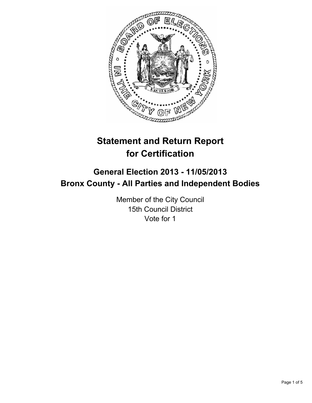

# **Statement and Return Report for Certification**

# **General Election 2013 - 11/05/2013 Bronx County - All Parties and Independent Bodies**

Member of the City Council 15th Council District Vote for 1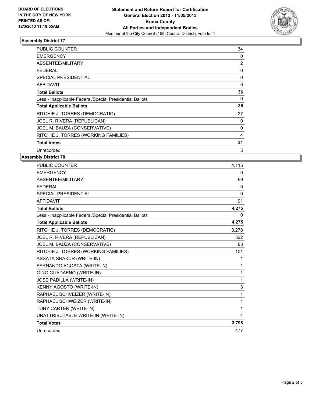

## **Assembly District 77**

| <b>PUBLIC COUNTER</b>                                    | 34             |
|----------------------------------------------------------|----------------|
| <b>EMERGENCY</b>                                         | 0              |
| ABSENTEE/MILITARY                                        | $\overline{2}$ |
| <b>FEDERAL</b>                                           | 0              |
| <b>SPECIAL PRESIDENTIAL</b>                              | 0              |
| AFFIDAVIT                                                | 0              |
| <b>Total Ballots</b>                                     | 36             |
| Less - Inapplicable Federal/Special Presidential Ballots | 0              |
| <b>Total Applicable Ballots</b>                          | 36             |
| RITCHIE J. TORRES (DEMOCRATIC)                           | 27             |
| JOEL R. RIVERA (REPUBLICAN)                              | 0              |
| JOEL M. BAUZA (CONSERVATIVE)                             | 0              |
| RITCHIE J. TORRES (WORKING FAMILIES)                     | 4              |
| <b>Total Votes</b>                                       | 31             |
| Unrecorded                                               | 5              |

# **Assembly District 78**

| <b>PUBLIC COUNTER</b>                                    | 4.115    |
|----------------------------------------------------------|----------|
| <b>EMERGENCY</b>                                         | 0        |
| ABSENTEE/MILITARY                                        | 69       |
| <b>FEDERAL</b>                                           | 0        |
| <b>SPECIAL PRESIDENTIAL</b>                              | $\Omega$ |
| <b>AFFIDAVIT</b>                                         | 91       |
| <b>Total Ballots</b>                                     | 4,275    |
| Less - Inapplicable Federal/Special Presidential Ballots | 0        |
| <b>Total Applicable Ballots</b>                          | 4,275    |
| RITCHIE J. TORRES (DEMOCRATIC)                           | 3.278    |
| JOEL R. RIVERA (REPUBLICAN)                              | 322      |
| JOEL M. BAUZA (CONSERVATIVE)                             | 83       |
| RITCHIE J. TORRES (WORKING FAMILIES)                     | 101      |
| <b>ASSATA SHAKUR (WRITE-IN)</b>                          | 1        |
| FERNANDO ACOSTA (WRITE-IN)                               | 1        |
| GINO GUADAENO (WRITE-IN)                                 | 1        |
| JOSE PADILLA (WRITE-IN)                                  | 1        |
| KENNY AGOSTO (WRITE-IN)                                  | 3        |
| RAPHAEL SCHVEIZER (WRITE-IN)                             | 1        |
| RAPHAEL SCHWEIZER (WRITE-IN)                             | 1        |
| TONY CARTER (WRITE-IN)                                   | 1        |
| UNATTRIBUTABLE WRITE-IN (WRITE-IN)                       | 4        |
| <b>Total Votes</b>                                       | 3,798    |
| Unrecorded                                               | 477      |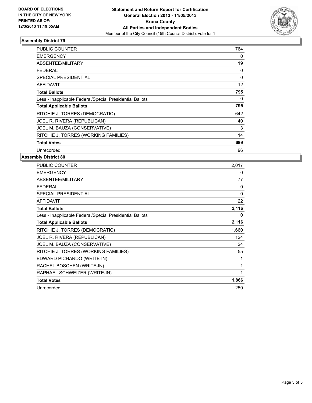

## **Assembly District 79**

| <b>PUBLIC COUNTER</b>                                    | 764      |
|----------------------------------------------------------|----------|
| <b>EMERGENCY</b>                                         | 0        |
| ABSENTEE/MILITARY                                        | 19       |
| <b>FEDERAL</b>                                           | 0        |
| <b>SPECIAL PRESIDENTIAL</b>                              | $\Omega$ |
| <b>AFFIDAVIT</b>                                         | 12       |
| <b>Total Ballots</b>                                     | 795      |
| Less - Inapplicable Federal/Special Presidential Ballots | 0        |
| <b>Total Applicable Ballots</b>                          | 795      |
| RITCHIE J. TORRES (DEMOCRATIC)                           | 642      |
| JOEL R. RIVERA (REPUBLICAN)                              | 40       |
| JOEL M. BAUZA (CONSERVATIVE)                             | 3        |
| RITCHIE J. TORRES (WORKING FAMILIES)                     | 14       |
| <b>Total Votes</b>                                       | 699      |
| Unrecorded                                               | 96       |

# **Assembly District 80**

| <b>PUBLIC COUNTER</b>                                    | 2,017    |
|----------------------------------------------------------|----------|
| <b>EMERGENCY</b>                                         | 0        |
| ABSENTEE/MILITARY                                        | 77       |
| <b>FEDERAL</b>                                           | $\Omega$ |
| <b>SPECIAL PRESIDENTIAL</b>                              | $\Omega$ |
| <b>AFFIDAVIT</b>                                         | 22       |
| <b>Total Ballots</b>                                     | 2,116    |
| Less - Inapplicable Federal/Special Presidential Ballots | 0        |
| <b>Total Applicable Ballots</b>                          | 2,116    |
| RITCHIE J. TORRES (DEMOCRATIC)                           | 1,660    |
| JOEL R. RIVERA (REPUBLICAN)                              | 124      |
| JOEL M. BAUZA (CONSERVATIVE)                             | 24       |
| RITCHIE J. TORRES (WORKING FAMILIES)                     | 55       |
| EDWARD PICHARDO (WRITE-IN)                               | 1        |
| RACHEL BOSCHEN (WRITE-IN)                                | 1        |
| RAPHAEL SCHWEIZER (WRITE-IN)                             | 1        |
| <b>Total Votes</b>                                       | 1,866    |
| Unrecorded                                               | 250      |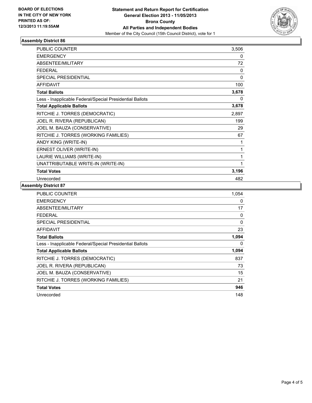

# **Assembly District 86**

| <b>PUBLIC COUNTER</b>                                    | 3,506    |
|----------------------------------------------------------|----------|
| <b>EMERGENCY</b>                                         | 0        |
| ABSENTEE/MILITARY                                        | 72       |
| <b>FEDERAL</b>                                           | $\Omega$ |
| <b>SPECIAL PRESIDENTIAL</b>                              | 0        |
| <b>AFFIDAVIT</b>                                         | 100      |
| <b>Total Ballots</b>                                     | 3,678    |
| Less - Inapplicable Federal/Special Presidential Ballots | 0        |
| <b>Total Applicable Ballots</b>                          | 3,678    |
| RITCHIE J. TORRES (DEMOCRATIC)                           | 2,897    |
| JOEL R. RIVERA (REPUBLICAN)                              | 199      |
| JOEL M. BAUZA (CONSERVATIVE)                             | 29       |
| RITCHIE J. TORRES (WORKING FAMILIES)                     | 67       |
| ANDY KING (WRITE-IN)                                     |          |
| ERNEST OLIVER (WRITE-IN)                                 | 1        |
| LAURIE WILLIAMS (WRITE-IN)                               | 1        |
| UNATTRIBUTABLE WRITE-IN (WRITE-IN)                       | 1        |
| <b>Total Votes</b>                                       | 3,196    |
| Unrecorded                                               | 482      |

## **Assembly District 87**

| <b>PUBLIC COUNTER</b>                                    | 1,054    |
|----------------------------------------------------------|----------|
| <b>EMERGENCY</b>                                         | 0        |
| ABSENTEE/MILITARY                                        | 17       |
| FEDERAL                                                  | 0        |
| SPECIAL PRESIDENTIAL                                     | $\Omega$ |
| <b>AFFIDAVIT</b>                                         | 23       |
| <b>Total Ballots</b>                                     | 1,094    |
| Less - Inapplicable Federal/Special Presidential Ballots | 0        |
| <b>Total Applicable Ballots</b>                          | 1,094    |
| RITCHIE J. TORRES (DEMOCRATIC)                           | 837      |
| JOEL R. RIVERA (REPUBLICAN)                              | 73       |
| JOEL M. BAUZA (CONSERVATIVE)                             | 15       |
| RITCHIE J. TORRES (WORKING FAMILIES)                     | 21       |
| <b>Total Votes</b>                                       | 946      |
| Unrecorded                                               | 148      |